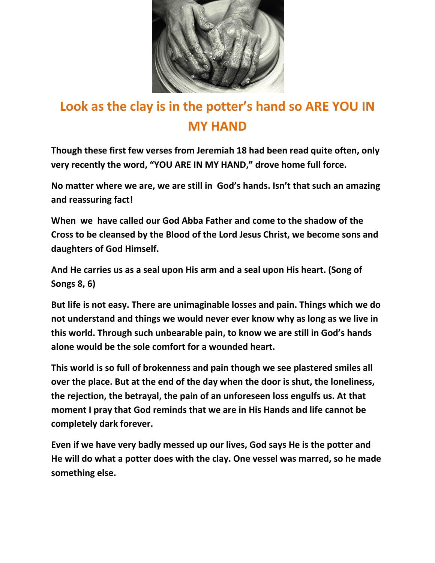

## **Look as the clay is in the potter's hand so ARE YOU IN MY HAND**

**Though these first few verses from Jeremiah 18 had been read quite often, only very recently the word, "YOU ARE IN MY HAND," drove home full force.** 

**No matter where we are, we are still in God's hands. Isn't that such an amazing and reassuring fact!**

**When we have called our God Abba Father and come to the shadow of the Cross to be cleansed by the Blood of the Lord Jesus Christ, we become sons and daughters of God Himself.**

**And He carries us as a seal upon His arm and a seal upon His heart. (Song of Songs 8, 6)**

**But life is not easy. There are unimaginable losses and pain. Things which we do not understand and things we would never ever know why as long as we live in this world. Through such unbearable pain, to know we are still in God's hands alone would be the sole comfort for a wounded heart.** 

**This world is so full of brokenness and pain though we see plastered smiles all over the place. But at the end of the day when the door is shut, the loneliness, the rejection, the betrayal, the pain of an unforeseen loss engulfs us. At that moment I pray that God reminds that we are in His Hands and life cannot be completely dark forever.**

**Even if we have very badly messed up our lives, God says He is the potter and He will do what a potter does with the clay. One vessel was marred, so he made something else.**